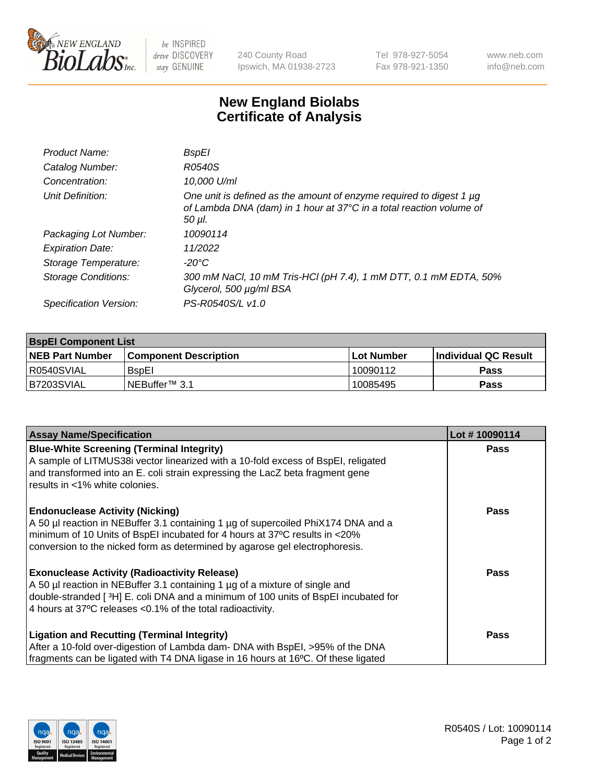

be INSPIRED drive DISCOVERY stay GENUINE

240 County Road Ipswich, MA 01938-2723 Tel 978-927-5054 Fax 978-921-1350 www.neb.com info@neb.com

## **New England Biolabs Certificate of Analysis**

| Product Name:           | BspEl                                                                                                                                                     |
|-------------------------|-----------------------------------------------------------------------------------------------------------------------------------------------------------|
| Catalog Number:         | R0540S                                                                                                                                                    |
| Concentration:          | 10,000 U/ml                                                                                                                                               |
| Unit Definition:        | One unit is defined as the amount of enzyme required to digest 1 $\mu$ g<br>of Lambda DNA (dam) in 1 hour at 37°C in a total reaction volume of<br>50 µI. |
| Packaging Lot Number:   | 10090114                                                                                                                                                  |
| <b>Expiration Date:</b> | 11/2022                                                                                                                                                   |
| Storage Temperature:    | $-20^{\circ}$ C                                                                                                                                           |
| Storage Conditions:     | 300 mM NaCl, 10 mM Tris-HCl (pH 7.4), 1 mM DTT, 0.1 mM EDTA, 50%<br>Glycerol, 500 µg/ml BSA                                                               |
| Specification Version:  | PS-R0540S/L v1.0                                                                                                                                          |

| <b>BspEl Component List</b> |                              |             |                             |  |  |
|-----------------------------|------------------------------|-------------|-----------------------------|--|--|
| <b>NEB Part Number</b>      | <b>Component Description</b> | ⊺Lot Number | <b>Individual QC Result</b> |  |  |
| I R0540SVIAL                | <b>B</b> spEl                | 10090112    | Pass                        |  |  |
| I B7203SVIAL                | INEBuffer™ 3.1               | 10085495    | Pass                        |  |  |

| <b>Assay Name/Specification</b>                                                    | Lot #10090114 |
|------------------------------------------------------------------------------------|---------------|
| <b>Blue-White Screening (Terminal Integrity)</b>                                   | <b>Pass</b>   |
| A sample of LITMUS38i vector linearized with a 10-fold excess of BspEI, religated  |               |
| and transformed into an E. coli strain expressing the LacZ beta fragment gene      |               |
| results in <1% white colonies.                                                     |               |
| <b>Endonuclease Activity (Nicking)</b>                                             | <b>Pass</b>   |
| A 50 µl reaction in NEBuffer 3.1 containing 1 µg of supercoiled PhiX174 DNA and a  |               |
| minimum of 10 Units of BspEI incubated for 4 hours at 37°C results in <20%         |               |
| conversion to the nicked form as determined by agarose gel electrophoresis.        |               |
| <b>Exonuclease Activity (Radioactivity Release)</b>                                | Pass          |
| A 50 µl reaction in NEBuffer 3.1 containing 1 µg of a mixture of single and        |               |
| double-stranded [3H] E. coli DNA and a minimum of 100 units of BspEI incubated for |               |
| 4 hours at 37°C releases < 0.1% of the total radioactivity.                        |               |
| Ligation and Recutting (Terminal Integrity)                                        | <b>Pass</b>   |
| After a 10-fold over-digestion of Lambda dam- DNA with BspEI, >95% of the DNA      |               |
| fragments can be ligated with T4 DNA ligase in 16 hours at 16°C. Of these ligated  |               |